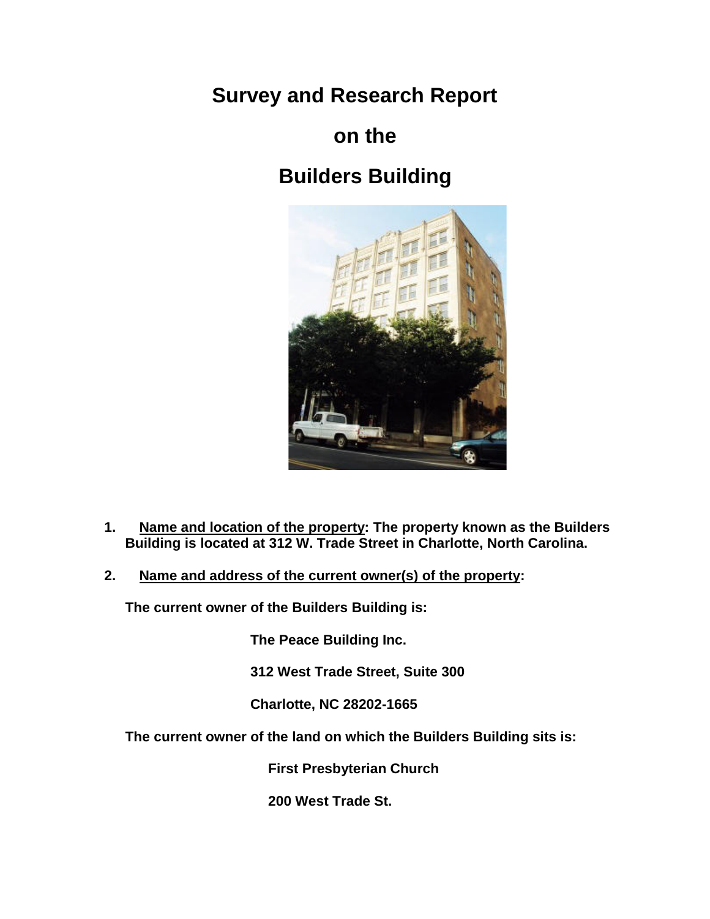**Survey and Research Report**

## **on the**

# **Builders Building**



- **1. Name and location of the property: The property known as the Builders Building is located at 312 W. Trade Street in Charlotte, North Carolina.**
- **2. Name and address of the current owner(s) of the property:**

**The current owner of the Builders Building is:**

**The Peace Building Inc.**

**312 West Trade Street, Suite 300**

**Charlotte, NC 28202-1665** 

**The current owner of the land on which the Builders Building sits is:**

 **First Presbyterian Church**

 **200 West Trade St.**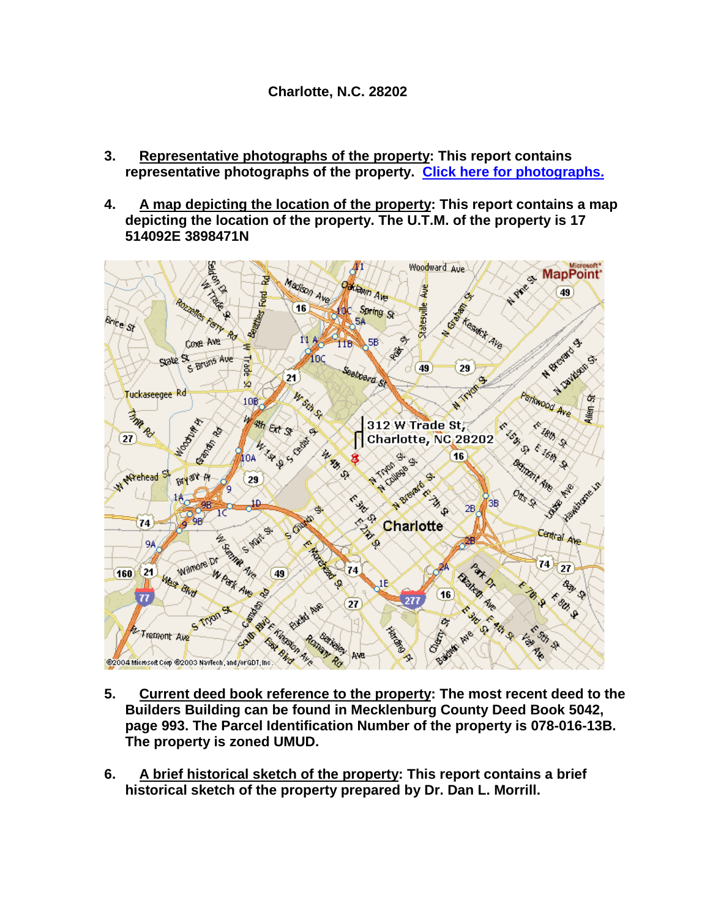- **3. Representative photographs of the property: This report contains representative photographs of the property. [Click here for photographs.](http://cmhpf.org/Surveys/surveybuildersphoto.htm)**
- **4. A map depicting the location of the property: This report contains a map depicting the location of the property. The U.T.M. of the property is 17 514092E 3898471N**



- **5. Current deed book reference to the property: The most recent deed to the Builders Building can be found in Mecklenburg County Deed Book 5042, page 993. The Parcel Identification Number of the property is 078-016-13B. The property is zoned UMUD.**
- **6. A brief historical sketch of the property: This report contains a brief historical sketch of the property prepared by Dr. Dan L. Morrill.**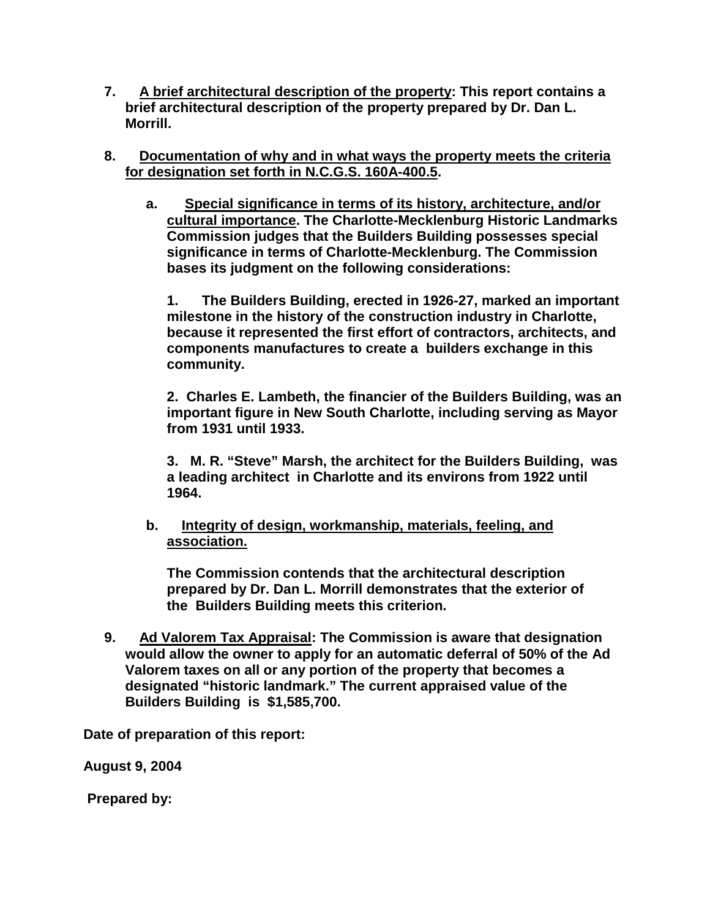- **7. A brief architectural description of the property: This report contains a brief architectural description of the property prepared by Dr. Dan L. Morrill.**
- **8. Documentation of why and in what ways the property meets the criteria for designation set forth in N.C.G.S. 160A-400.5.**
	- **a. Special significance in terms of its history, architecture, and/or cultural importance. The Charlotte-Mecklenburg Historic Landmarks Commission judges that the Builders Building possesses special significance in terms of Charlotte-Mecklenburg. The Commission bases its judgment on the following considerations:**

**1. The Builders Building, erected in 1926-27, marked an important milestone in the history of the construction industry in Charlotte, because it represented the first effort of contractors, architects, and components manufactures to create a builders exchange in this community.**

**2. Charles E. Lambeth, the financier of the Builders Building, was an important figure in New South Charlotte, including serving as Mayor from 1931 until 1933.**

**3. M. R. "Steve" Marsh, the architect for the Builders Building, was a leading architect in Charlotte and its environs from 1922 until 1964.**

**b. Integrity of design, workmanship, materials, feeling, and association.**

**The Commission contends that the architectural description prepared by Dr. Dan L. Morrill demonstrates that the exterior of the Builders Building meets this criterion.** 

**9. Ad Valorem Tax Appraisal: The Commission is aware that designation would allow the owner to apply for an automatic deferral of 50% of the Ad Valorem taxes on all or any portion of the property that becomes a designated "historic landmark." The current appraised value of the Builders Building is \$1,585,700.** 

**Date of preparation of this report:**

**August 9, 2004**

**Prepared by:**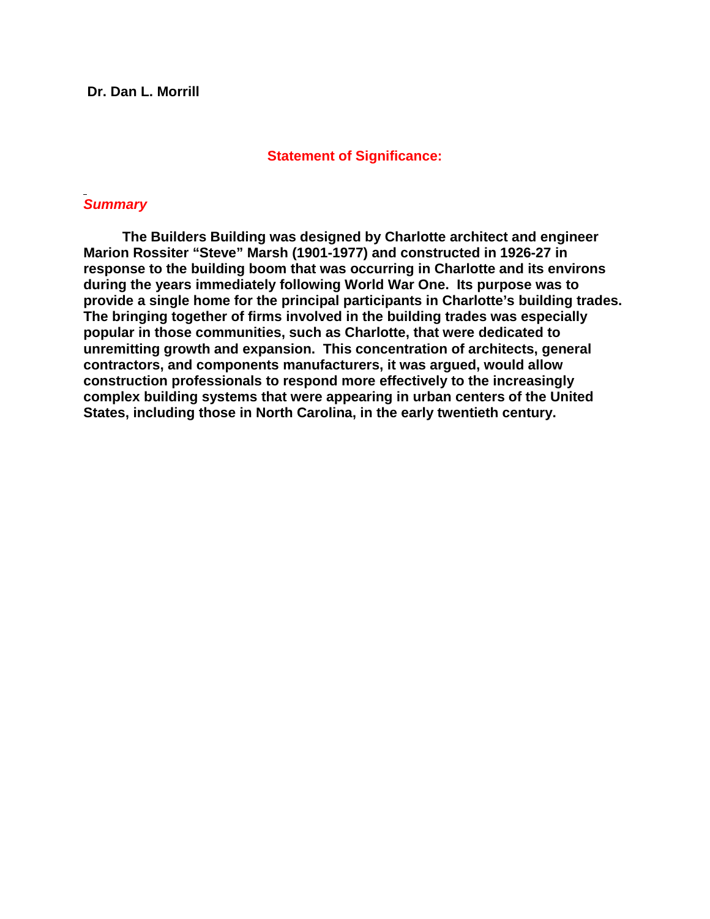### **Statement of Significance:**

## *Summary*

 **The Builders Building was designed by Charlotte architect and engineer Marion Rossiter "Steve" Marsh (1901-1977) and constructed in 1926-27 in response to the building boom that was occurring in Charlotte and its environs during the years immediately following World War One. Its purpose was to provide a single home for the principal participants in Charlotte's building trades. The bringing together of firms involved in the building trades was especially popular in those communities, such as Charlotte, that were dedicated to unremitting growth and expansion. This concentration of architects, general contractors, and components manufacturers, it was argued, would allow construction professionals to respond more effectively to the increasingly complex building systems that were appearing in urban centers of the United States, including those in North Carolina, in the early twentieth century.**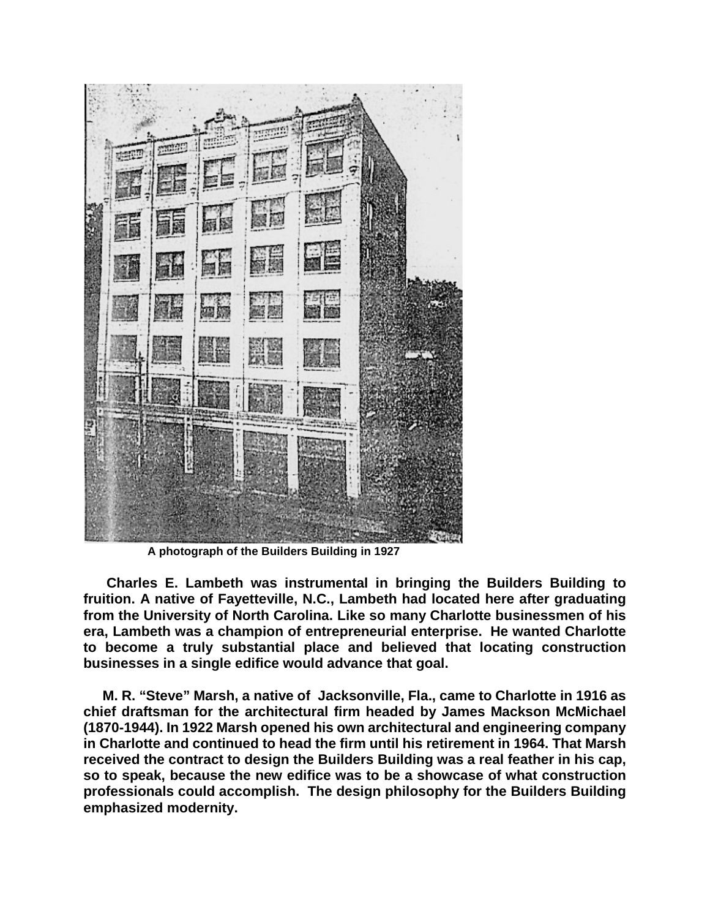

**A photograph of the Builders Building in 1927**

 **Charles E. Lambeth was instrumental in bringing the Builders Building to fruition. A native of Fayetteville, N.C., Lambeth had located here after graduating from the University of North Carolina. Like so many Charlotte businessmen of his era, Lambeth was a champion of entrepreneurial enterprise. He wanted Charlotte to become a truly substantial place and believed that locating construction businesses in a single edifice would advance that goal.**

 **M. R. "Steve" Marsh, a native of Jacksonville, Fla., came to Charlotte in 1916 as chief draftsman for the architectural firm headed by James Mackson McMichael (1870-1944). In 1922 Marsh opened his own architectural and engineering company in Charlotte and continued to head the firm until his retirement in 1964. That Marsh received the contract to design the Builders Building was a real feather in his cap, so to speak, because the new edifice was to be a showcase of what construction professionals could accomplish. The design philosophy for the Builders Building emphasized modernity.**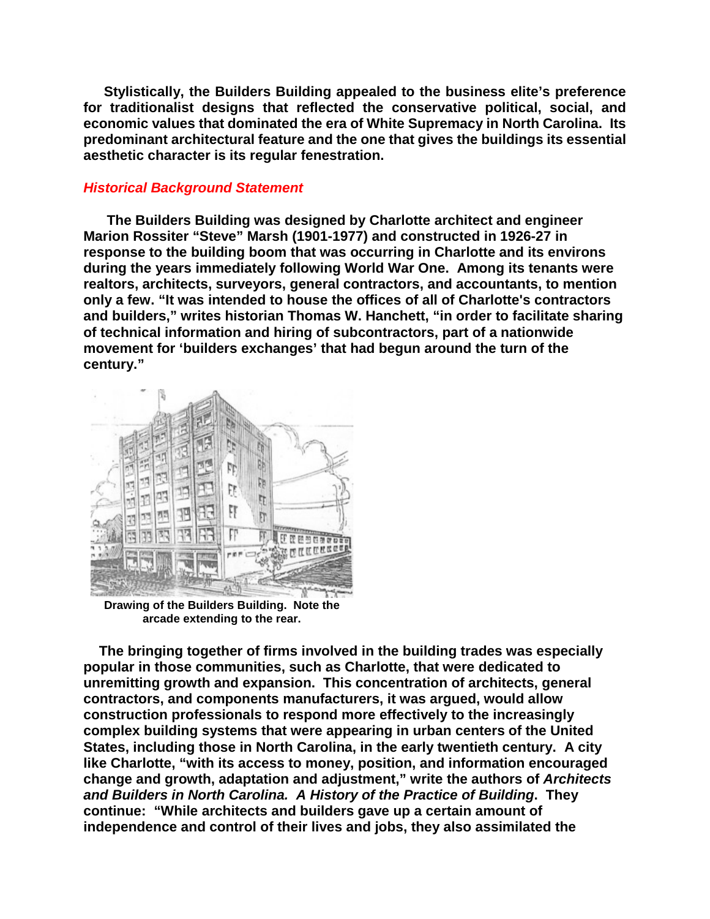**Stylistically, the Builders Building appealed to the business elite's preference for traditionalist designs that reflected the conservative political, social, and economic values that dominated the era of White Supremacy in North Carolina. Its predominant architectural feature and the one that gives the buildings its essential aesthetic character is its regular fenestration.**

## *Historical Background Statement*

 **The Builders Building was designed by Charlotte architect and engineer Marion Rossiter "Steve" Marsh (1901-1977) and constructed in 1926-27 in response to the building boom that was occurring in Charlotte and its environs during the years immediately following World War One. Among its tenants were realtors, architects, surveyors, general contractors, and accountants, to mention only a few. "It was intended to house the offices of all of Charlotte's contractors and builders," writes historian Thomas W. Hanchett, "in order to facilitate sharing of technical information and hiring of subcontractors, part of a nationwide movement for 'builders exchanges' that had begun around the turn of the century."**



**Drawing of the Builders Building. Note the arcade extending to the rear.**

 **The bringing together of firms involved in the building trades was especially popular in those communities, such as Charlotte, that were dedicated to unremitting growth and expansion. This concentration of architects, general contractors, and components manufacturers, it was argued, would allow construction professionals to respond more effectively to the increasingly complex building systems that were appearing in urban centers of the United States, including those in North Carolina, in the early twentieth century. A city like Charlotte, "with its access to money, position, and information encouraged change and growth, adaptation and adjustment," write the authors of** *Architects and Builders in North Carolina. A History of the Practice of Building***. They continue: "While architects and builders gave up a certain amount of independence and control of their lives and jobs, they also assimilated the**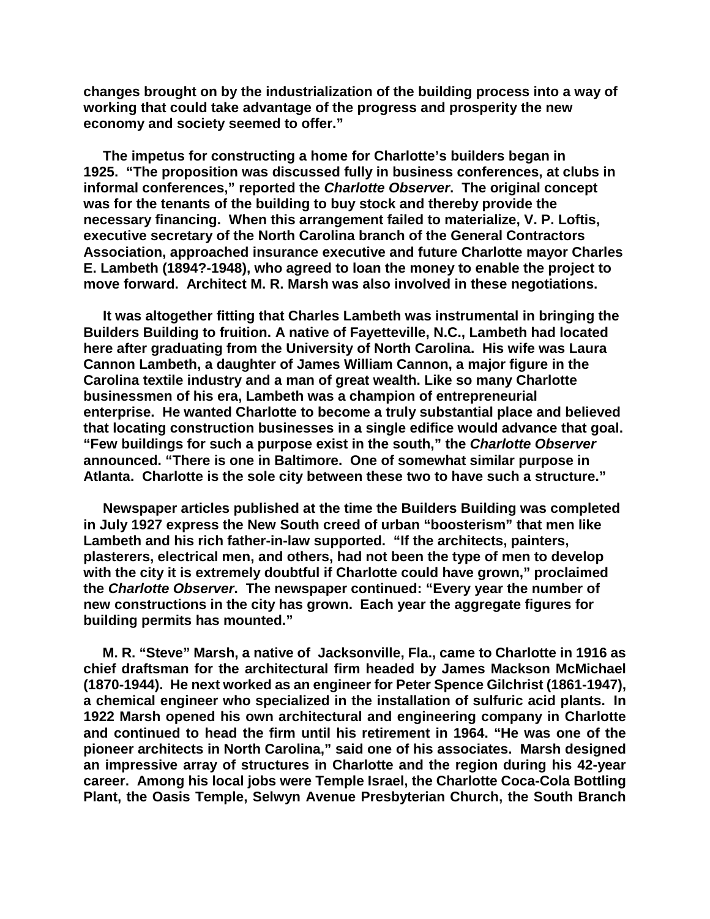**changes brought on by the industrialization of the building process into a way of working that could take advantage of the progress and prosperity the new economy and society seemed to offer."**

 **The impetus for constructing a home for Charlotte's builders began in 1925. "The proposition was discussed fully in business conferences, at clubs in informal conferences," reported the** *Charlotte Observer***. The original concept was for the tenants of the building to buy stock and thereby provide the necessary financing. When this arrangement failed to materialize, V. P. Loftis, executive secretary of the North Carolina branch of the General Contractors Association, approached insurance executive and future Charlotte mayor Charles E. Lambeth (1894?-1948), who agreed to loan the money to enable the project to move forward. Architect M. R. Marsh was also involved in these negotiations.**

 **It was altogether fitting that Charles Lambeth was instrumental in bringing the Builders Building to fruition. A native of Fayetteville, N.C., Lambeth had located here after graduating from the University of North Carolina. His wife was Laura Cannon Lambeth, a daughter of James William Cannon, a major figure in the Carolina textile industry and a man of great wealth. Like so many Charlotte businessmen of his era, Lambeth was a champion of entrepreneurial enterprise. He wanted Charlotte to become a truly substantial place and believed that locating construction businesses in a single edifice would advance that goal. "Few buildings for such a purpose exist in the south," the** *Charlotte Observer*  **announced. "There is one in Baltimore. One of somewhat similar purpose in Atlanta. Charlotte is the sole city between these two to have such a structure."**

 **Newspaper articles published at the time the Builders Building was completed in July 1927 express the New South creed of urban "boosterism" that men like Lambeth and his rich father-in-law supported. "If the architects, painters, plasterers, electrical men, and others, had not been the type of men to develop with the city it is extremely doubtful if Charlotte could have grown," proclaimed the** *Charlotte Observer***. The newspaper continued: "Every year the number of new constructions in the city has grown. Each year the aggregate figures for building permits has mounted."**

 **M. R. "Steve" Marsh, a native of Jacksonville, Fla., came to Charlotte in 1916 as chief draftsman for the architectural firm headed by James Mackson McMichael (1870-1944). He next worked as an engineer for Peter Spence Gilchrist (1861-1947), a chemical engineer who specialized in the installation of sulfuric acid plants. In 1922 Marsh opened his own architectural and engineering company in Charlotte and continued to head the firm until his retirement in 1964. "He was one of the pioneer architects in North Carolina," said one of his associates. Marsh designed an impressive array of structures in Charlotte and the region during his 42-year career. Among his local jobs were Temple Israel, the Charlotte Coca-Cola Bottling Plant, the Oasis Temple, Selwyn Avenue Presbyterian Church, the South Branch**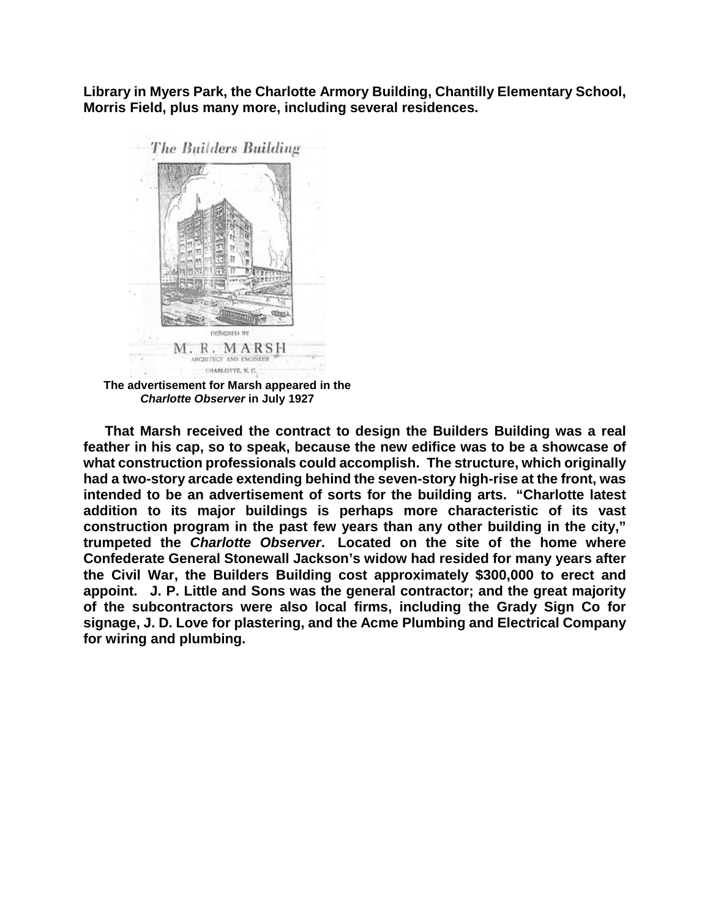**Library in Myers Park, the Charlotte Armory Building, Chantilly Elementary School, Morris Field, plus many more, including several residences.**



**The advertisement for Marsh appeared in the**  *Charlotte Observer* **in July 1927**

 **That Marsh received the contract to design the Builders Building was a real feather in his cap, so to speak, because the new edifice was to be a showcase of what construction professionals could accomplish. The structure, which originally had a two-story arcade extending behind the seven-story high-rise at the front, was intended to be an advertisement of sorts for the building arts. "Charlotte latest addition to its major buildings is perhaps more characteristic of its vast construction program in the past few years than any other building in the city," trumpeted the** *Charlotte Observer***. Located on the site of the home where Confederate General Stonewall Jackson's widow had resided for many years after the Civil War, the Builders Building cost approximately \$300,000 to erect and appoint. J. P. Little and Sons was the general contractor; and the great majority of the subcontractors were also local firms, including the Grady Sign Co for signage, J. D. Love for plastering, and the Acme Plumbing and Electrical Company for wiring and plumbing.**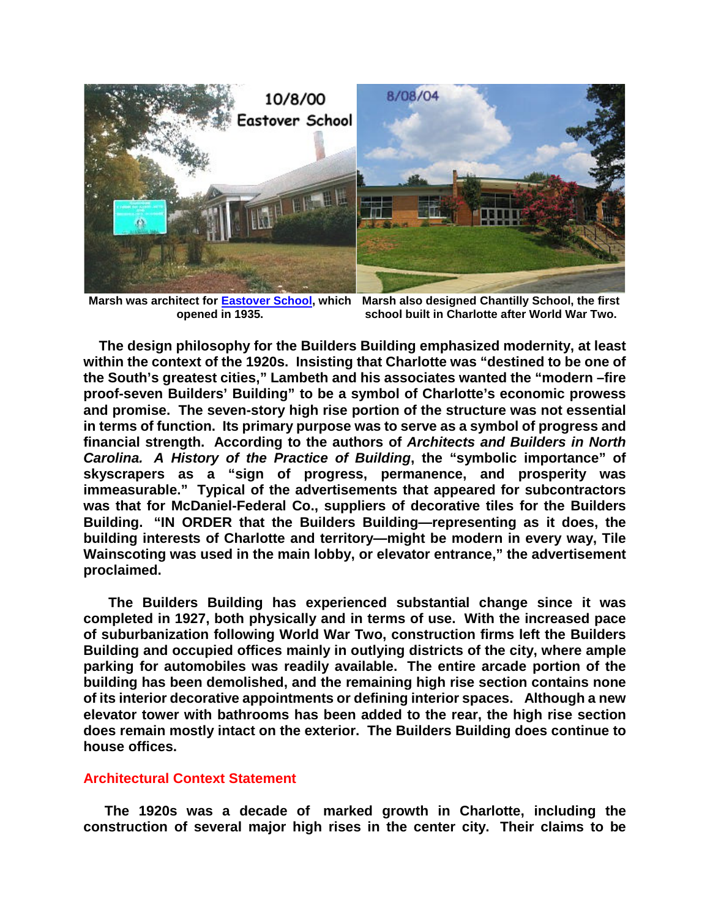

**Marsh was architect for [Eastover School,](http://cmhpf.org/Eastover%20Elementary%20School%20History.htm) which Marsh also designed Chantilly School, the first opened in 1935.**

**school built in Charlotte after World War Two.**

 **The design philosophy for the Builders Building emphasized modernity, at least within the context of the 1920s. Insisting that Charlotte was "destined to be one of the South's greatest cities," Lambeth and his associates wanted the "modern –fire proof-seven Builders' Building" to be a symbol of Charlotte's economic prowess and promise. The seven-story high rise portion of the structure was not essential in terms of function. Its primary purpose was to serve as a symbol of progress and financial strength. According to the authors of** *Architects and Builders in North Carolina. A History of the Practice of Building***, the "symbolic importance" of skyscrapers as a "sign of progress, permanence, and prosperity was immeasurable." Typical of the advertisements that appeared for subcontractors was that for McDaniel-Federal Co., suppliers of decorative tiles for the Builders Building. "IN ORDER that the Builders Building—representing as it does, the building interests of Charlotte and territory—might be modern in every way, Tile Wainscoting was used in the main lobby, or elevator entrance," the advertisement proclaimed.**

 **The Builders Building has experienced substantial change since it was completed in 1927, both physically and in terms of use. With the increased pace of suburbanization following World War Two, construction firms left the Builders Building and occupied offices mainly in outlying districts of the city, where ample parking for automobiles was readily available. The entire arcade portion of the building has been demolished, and the remaining high rise section contains none of its interior decorative appointments or defining interior spaces. Although a new elevator tower with bathrooms has been added to the rear, the high rise section does remain mostly intact on the exterior. The Builders Building does continue to house offices.**

#### **Architectural Context Statement**

 **The 1920s was a decade of marked growth in Charlotte, including the construction of several major high rises in the center city. Their claims to be**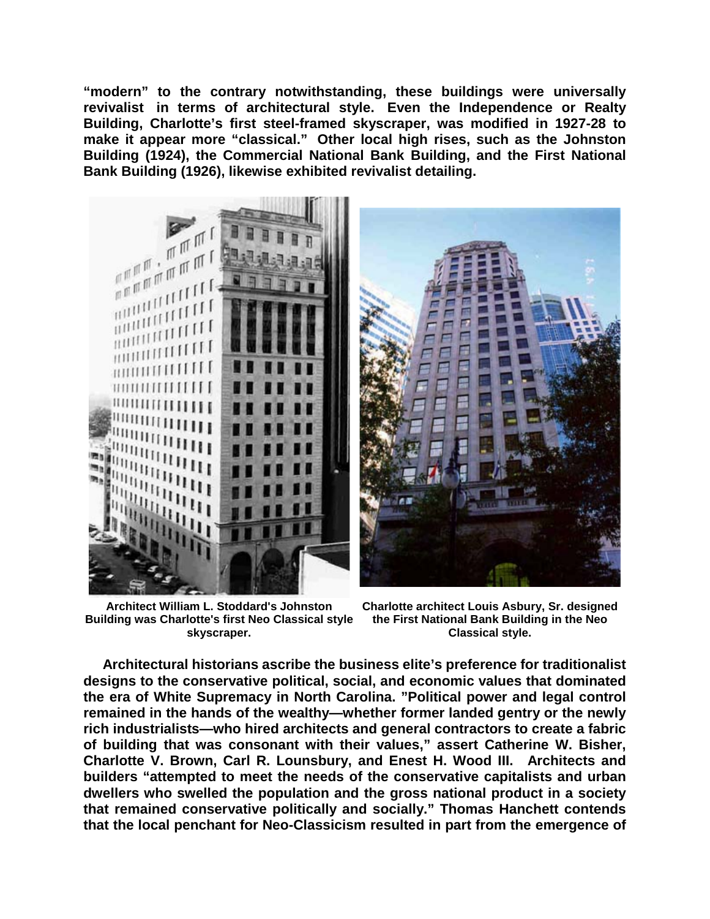**"modern" to the contrary notwithstanding, these buildings were universally revivalist in terms of architectural style. Even the Independence or Realty Building, Charlotte's first steel-framed skyscraper, was modified in 1927-28 to make it appear more "classical." Other local high rises, such as the Johnston Building (1924), the Commercial National Bank Building, and the First National Bank Building (1926), likewise exhibited revivalist detailing.**



**Architect William L. Stoddard's Johnston Building was Charlotte's first Neo Classical style skyscraper.**

**Charlotte architect Louis Asbury, Sr. designed the First National Bank Building in the Neo Classical style.**

 **Architectural historians ascribe the business elite's preference for traditionalist designs to the conservative political, social, and economic values that dominated the era of White Supremacy in North Carolina. "Political power and legal control remained in the hands of the wealthy—whether former landed gentry or the newly rich industrialists—who hired architects and general contractors to create a fabric of building that was consonant with their values," assert Catherine W. Bisher, Charlotte V. Brown, Carl R. Lounsbury, and Enest H. Wood III. Architects and builders "attempted to meet the needs of the conservative capitalists and urban dwellers who swelled the population and the gross national product in a society that remained conservative politically and socially." Thomas Hanchett contends that the local penchant for Neo-Classicism resulted in part from the emergence of**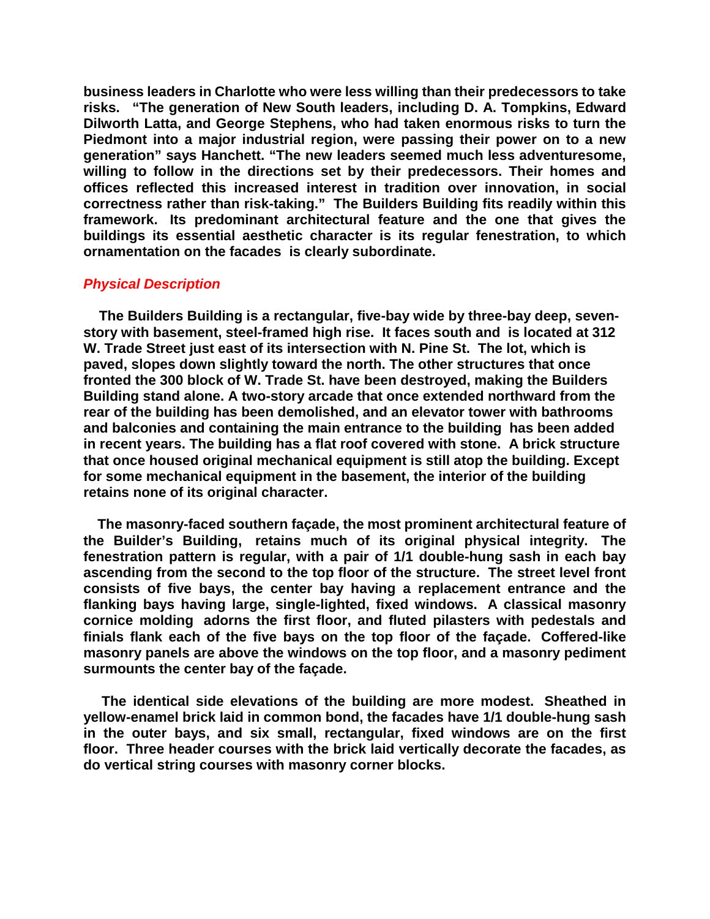**business leaders in Charlotte who were less willing than their predecessors to take risks. "The generation of New South leaders, including D. A. Tompkins, Edward Dilworth Latta, and George Stephens, who had taken enormous risks to turn the Piedmont into a major industrial region, were passing their power on to a new generation" says Hanchett. "The new leaders seemed much less adventuresome, willing to follow in the directions set by their predecessors. Their homes and offices reflected this increased interest in tradition over innovation, in social correctness rather than risk-taking." The Builders Building fits readily within this framework. Its predominant architectural feature and the one that gives the buildings its essential aesthetic character is its regular fenestration, to which ornamentation on the facades is clearly subordinate.**

#### *Physical Description*

 **The Builders Building is a rectangular, five-bay wide by three-bay deep, sevenstory with basement, steel-framed high rise. It faces south and is located at 312 W. Trade Street just east of its intersection with N. Pine St. The lot, which is paved, slopes down slightly toward the north. The other structures that once fronted the 300 block of W. Trade St. have been destroyed, making the Builders Building stand alone. A two-story arcade that once extended northward from the rear of the building has been demolished, and an elevator tower with bathrooms and balconies and containing the main entrance to the building has been added in recent years. The building has a flat roof covered with stone. A brick structure that once housed original mechanical equipment is still atop the building. Except for some mechanical equipment in the basement, the interior of the building retains none of its original character.**

 **The masonry-faced southern façade, the most prominent architectural feature of the Builder's Building, retains much of its original physical integrity. The fenestration pattern is regular, with a pair of 1/1 double-hung sash in each bay ascending from the second to the top floor of the structure. The street level front consists of five bays, the center bay having a replacement entrance and the flanking bays having large, single-lighted, fixed windows. A classical masonry cornice molding adorns the first floor, and fluted pilasters with pedestals and finials flank each of the five bays on the top floor of the façade. Coffered-like masonry panels are above the windows on the top floor, and a masonry pediment surmounts the center bay of the façade.** 

 **The identical side elevations of the building are more modest. Sheathed in yellow-enamel brick laid in common bond, the facades have 1/1 double-hung sash in the outer bays, and six small, rectangular, fixed windows are on the first floor. Three header courses with the brick laid vertically decorate the facades, as do vertical string courses with masonry corner blocks.**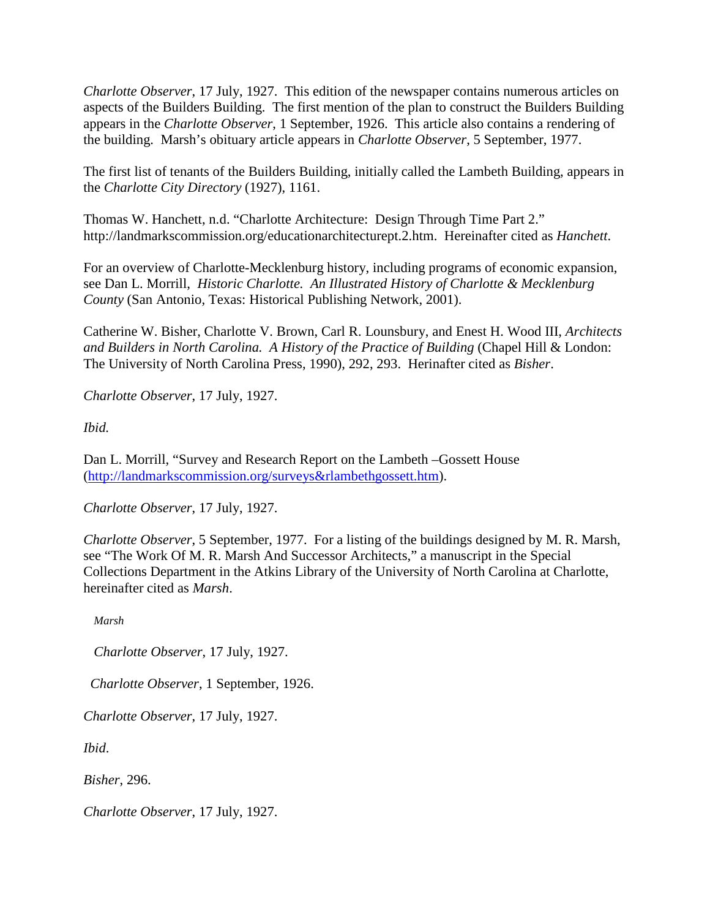*Charlotte Observer*, 17 July, 1927. This edition of the newspaper contains numerous articles on aspects of the Builders Building. The first mention of the plan to construct the Builders Building appears in the *Charlotte Observer*, 1 September, 1926. This article also contains a rendering of the building. Marsh's obituary article appears in *Charlotte Observer*, 5 September, 1977.

The first list of tenants of the Builders Building, initially called the Lambeth Building, appears in the *Charlotte City Directory* (1927), 1161.

Thomas W. Hanchett, n.d. "Charlotte Architecture: Design Through Time Part 2." http://landmarkscommission.org/educationarchitecturept.2.htm. Hereinafter cited as *Hanchett*.

For an overview of Charlotte-Mecklenburg history, including programs of economic expansion, see Dan L. Morrill, *Historic Charlotte. An Illustrated History of Charlotte & Mecklenburg County* (San Antonio, Texas: Historical Publishing Network, 2001).

Catherine W. Bisher, Charlotte V. Brown, Carl R. Lounsbury, and Enest H. Wood III, *Architects and Builders in North Carolina. A History of the Practice of Building* (Chapel Hill & London: The University of North Carolina Press, 1990), 292, 293. Herinafter cited as *Bisher*.

*Charlotte Observer*, 17 July, 1927.

*Ibid.*

Dan L. Morrill, "Survey and Research Report on the Lambeth –Gossett House [\(http://landmarkscommission.org/surveys&rlambethgossett.htm\)](http://landmarkscommission.org/S&Rs%20Alphabetical%20Order/surveys&rlambethgossett.htm).

*Charlotte Observer*, 17 July, 1927.

*Charlotte Observer*, 5 September, 1977. For a listing of the buildings designed by M. R. Marsh, see "The Work Of M. R. Marsh And Successor Architects," a manuscript in the Special Collections Department in the Atkins Library of the University of North Carolina at Charlotte, hereinafter cited as *Marsh*.

*Marsh*

*Charlotte Observer*, 17 July, 1927.

*Charlotte Observer*, 1 September, 1926.

*Charlotte Observer*, 17 July, 1927.

*Ibid*.

*Bisher*, 296.

*Charlotte Observer*, 17 July, 1927.